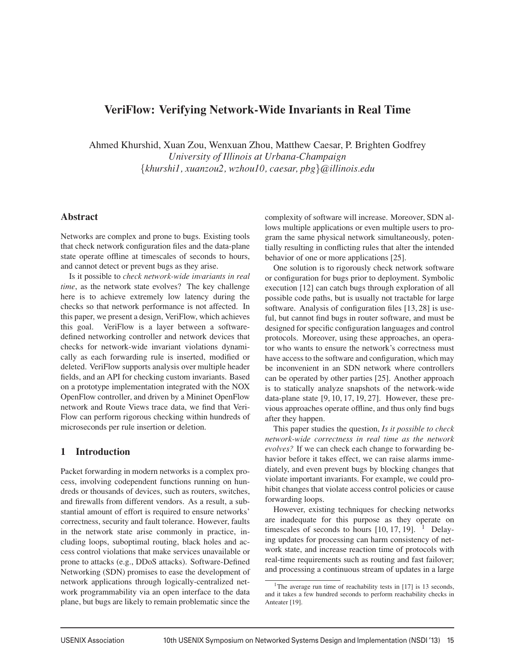# **VeriFlow: Verifying Network-Wide Invariants in Real Time**

Ahmed Khurshid, Xuan Zou, Wenxuan Zhou, Matthew Caesar, P. Brighten Godfrey *University of Illinois at Urbana-Champaign* {*khurshi1, xuanzou2, wzhou10, caesar, pbg*}*@illinois.edu*

#### **Abstract**

Networks are complex and prone to bugs. Existing tools that check network configuration files and the data-plane state operate offline at timescales of seconds to hours, and cannot detect or prevent bugs as they arise.

Is it possible to *check network-wide invariants in real time*, as the network state evolves? The key challenge here is to achieve extremely low latency during the checks so that network performance is not affected. In this paper, we present a design, VeriFlow, which achieves this goal. VeriFlow is a layer between a softwaredefined networking controller and network devices that checks for network-wide invariant violations dynamically as each forwarding rule is inserted, modified or deleted. VeriFlow supports analysis over multiple header fields, and an API for checking custom invariants. Based on a prototype implementation integrated with the NOX OpenFlow controller, and driven by a Mininet OpenFlow network and Route Views trace data, we find that Veri-Flow can perform rigorous checking within hundreds of microseconds per rule insertion or deletion.

#### **1 Introduction**

Packet forwarding in modern networks is a complex process, involving codependent functions running on hundreds or thousands of devices, such as routers, switches, and firewalls from different vendors. As a result, a substantial amount of effort is required to ensure networks' correctness, security and fault tolerance. However, faults in the network state arise commonly in practice, including loops, suboptimal routing, black holes and access control violations that make services unavailable or prone to attacks (e.g., DDoS attacks). Software-Defined Networking (SDN) promises to ease the development of network applications through logically-centralized network programmability via an open interface to the data plane, but bugs are likely to remain problematic since the complexity of software will increase. Moreover, SDN allows multiple applications or even multiple users to program the same physical network simultaneously, potentially resulting in conflicting rules that alter the intended behavior of one or more applications [25].

One solution is to rigorously check network software or configuration for bugs prior to deployment. Symbolic execution [12] can catch bugs through exploration of all possible code paths, but is usually not tractable for large software. Analysis of configuration files [13, 28] is useful, but cannot find bugs in router software, and must be designed for specific configuration languages and control protocols. Moreover, using these approaches, an operator who wants to ensure the network's correctness must have access to the software and configuration, which may be inconvenient in an SDN network where controllers can be operated by other parties [25]. Another approach is to statically analyze snapshots of the network-wide data-plane state [9, 10, 17, 19, 27]. However, these previous approaches operate offline, and thus only find bugs after they happen.

This paper studies the question, *Is it possible to check network-wide correctness in real time as the network evolves?* If we can check each change to forwarding behavior before it takes effect, we can raise alarms immediately, and even prevent bugs by blocking changes that violate important invariants. For example, we could prohibit changes that violate access control policies or cause forwarding loops.

However, existing techniques for checking networks are inadequate for this purpose as they operate on timescales of seconds to hours  $[10, 17, 19]$ . <sup>1</sup> Delaying updates for processing can harm consistency of network state, and increase reaction time of protocols with real-time requirements such as routing and fast failover; and processing a continuous stream of updates in a large

<sup>&</sup>lt;sup>1</sup>The average run time of reachability tests in [17] is 13 seconds, and it takes a few hundred seconds to perform reachability checks in Anteater [19].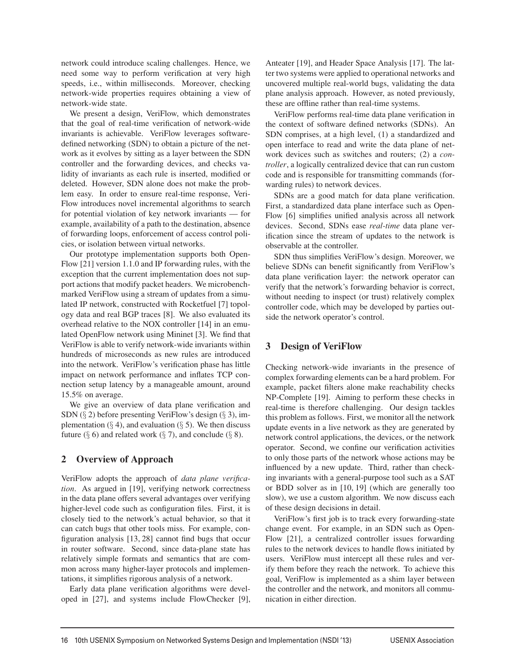network could introduce scaling challenges. Hence, we need some way to perform verification at very high speeds, i.e., within milliseconds. Moreover, checking network-wide properties requires obtaining a view of network-wide state.

We present a design, VeriFlow, which demonstrates that the goal of real-time verification of network-wide invariants is achievable. VeriFlow leverages softwaredefined networking (SDN) to obtain a picture of the network as it evolves by sitting as a layer between the SDN controller and the forwarding devices, and checks validity of invariants as each rule is inserted, modified or deleted. However, SDN alone does not make the problem easy. In order to ensure real-time response, Veri-Flow introduces novel incremental algorithms to search for potential violation of key network invariants — for example, availability of a path to the destination, absence of forwarding loops, enforcement of access control policies, or isolation between virtual networks.

Our prototype implementation supports both Open-Flow [21] version 1.1.0 and IP forwarding rules, with the exception that the current implementation does not support actions that modify packet headers. We microbenchmarked VeriFlow using a stream of updates from a simulated IP network, constructed with Rocketfuel [7] topology data and real BGP traces [8]. We also evaluated its overhead relative to the NOX controller [14] in an emulated OpenFlow network using Mininet [3]. We find that VeriFlow is able to verify network-wide invariants within hundreds of microseconds as new rules are introduced into the network. VeriFlow's verification phase has little impact on network performance and inflates TCP connection setup latency by a manageable amount, around 15.5% on average.

We give an overview of data plane verification and SDN  $(\S 2)$  before presenting VeriFlow's design  $(\S 3)$ , implementation ( $\S$  4), and evaluation ( $\S$  5). We then discuss future ( $\S$  6) and related work ( $\S$  7), and conclude ( $\S$  8).

# **2 Overview of Approach**

VeriFlow adopts the approach of *data plane verification*. As argued in [19], verifying network correctness in the data plane offers several advantages over verifying higher-level code such as configuration files. First, it is closely tied to the network's actual behavior, so that it can catch bugs that other tools miss. For example, configuration analysis [13, 28] cannot find bugs that occur in router software. Second, since data-plane state has relatively simple formats and semantics that are common across many higher-layer protocols and implementations, it simplifies rigorous analysis of a network.

Early data plane verification algorithms were developed in [27], and systems include FlowChecker [9], Anteater [19], and Header Space Analysis [17]. The latter two systems were applied to operational networks and uncovered multiple real-world bugs, validating the data plane analysis approach. However, as noted previously, these are offline rather than real-time systems.

VeriFlow performs real-time data plane verification in the context of software defined networks (SDNs). An SDN comprises, at a high level, (1) a standardized and open interface to read and write the data plane of network devices such as switches and routers; (2) a *controller*, a logically centralized device that can run custom code and is responsible for transmitting commands (forwarding rules) to network devices.

SDNs are a good match for data plane verification. First, a standardized data plane interface such as Open-Flow [6] simplifies unified analysis across all network devices. Second, SDNs ease *real-time* data plane verification since the stream of updates to the network is observable at the controller.

SDN thus simplifies VeriFlow's design. Moreover, we believe SDNs can benefit significantly from VeriFlow's data plane verification layer: the network operator can verify that the network's forwarding behavior is correct, without needing to inspect (or trust) relatively complex controller code, which may be developed by parties outside the network operator's control.

# **3 Design of VeriFlow**

Checking network-wide invariants in the presence of complex forwarding elements can be a hard problem. For example, packet filters alone make reachability checks NP-Complete [19]. Aiming to perform these checks in real-time is therefore challenging. Our design tackles this problem as follows. First, we monitor all the network update events in a live network as they are generated by network control applications, the devices, or the network operator. Second, we confine our verification activities to only those parts of the network whose actions may be influenced by a new update. Third, rather than checking invariants with a general-purpose tool such as a SAT or BDD solver as in [10, 19] (which are generally too slow), we use a custom algorithm. We now discuss each of these design decisions in detail.

VeriFlow's first job is to track every forwarding-state change event. For example, in an SDN such as Open-Flow [21], a centralized controller issues forwarding rules to the network devices to handle flows initiated by users. VeriFlow must intercept all these rules and verify them before they reach the network. To achieve this goal, VeriFlow is implemented as a shim layer between the controller and the network, and monitors all communication in either direction.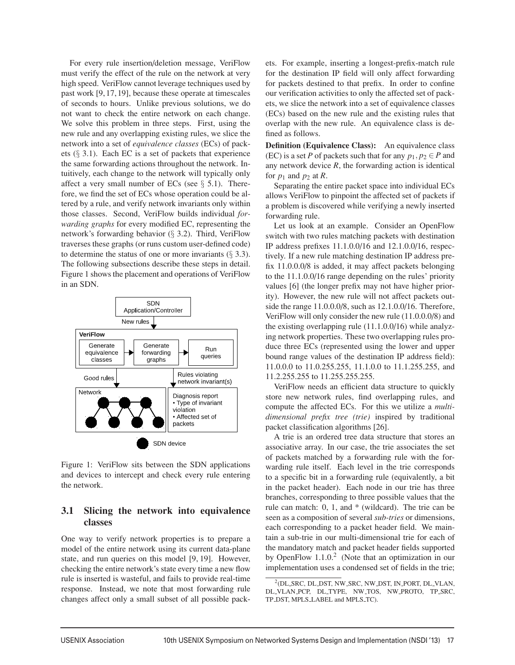For every rule insertion/deletion message, VeriFlow must verify the effect of the rule on the network at very high speed. VeriFlow cannot leverage techniques used by past work [9,17,19], because these operate at timescales of seconds to hours. Unlike previous solutions, we do not want to check the entire network on each change. We solve this problem in three steps. First, using the new rule and any overlapping existing rules, we slice the network into a set of *equivalence classes* (ECs) of packets  $(\S$  3.1). Each EC is a set of packets that experience the same forwarding actions throughout the network. Intuitively, each change to the network will typically only affect a very small number of ECs (see  $\S$  5.1). Therefore, we find the set of ECs whose operation could be altered by a rule, and verify network invariants only within those classes. Second, VeriFlow builds individual *forwarding graphs* for every modified EC, representing the network's forwarding behavior (§ 3.2). Third, VeriFlow traverses these graphs (or runs custom user-defined code) to determine the status of one or more invariants  $(\S 3.3)$ . The following subsections describe these steps in detail. Figure 1 shows the placement and operations of VeriFlow in an SDN.



Figure 1: VeriFlow sits between the SDN applications and devices to intercept and check every rule entering the network.

## **3.1 Slicing the network into equivalence classes**

One way to verify network properties is to prepare a model of the entire network using its current data-plane state, and run queries on this model [9, 19]. However, checking the entire network's state every time a new flow rule is inserted is wasteful, and fails to provide real-time response. Instead, we note that most forwarding rule changes affect only a small subset of all possible packets. For example, inserting a longest-prefix-match rule for the destination IP field will only affect forwarding for packets destined to that prefix. In order to confine our verification activities to only the affected set of packets, we slice the network into a set of equivalence classes (ECs) based on the new rule and the existing rules that overlap with the new rule. An equivalence class is defined as follows.

**Definition (Equivalence Class):** An equivalence class (EC) is a set *P* of packets such that for any  $p_1, p_2 \in P$  and any network device  $R$ , the forwarding action is identical for  $p_1$  and  $p_2$  at  $R$ .

Separating the entire packet space into individual ECs allows VeriFlow to pinpoint the affected set of packets if a problem is discovered while verifying a newly inserted forwarding rule.

Let us look at an example. Consider an OpenFlow switch with two rules matching packets with destination IP address prefixes 11.1.0.0/16 and 12.1.0.0/16, respectively. If a new rule matching destination IP address prefix 11.0.0.0/8 is added, it may affect packets belonging to the 11.1.0.0/16 range depending on the rules' priority values [6] (the longer prefix may not have higher priority). However, the new rule will not affect packets outside the range 11.0.0.0/8, such as 12.1.0.0/16. Therefore, VeriFlow will only consider the new rule (11.0.0.0/8) and the existing overlapping rule (11.1.0.0/16) while analyzing network properties. These two overlapping rules produce three ECs (represented using the lower and upper bound range values of the destination IP address field): 11.0.0.0 to 11.0.255.255, 11.1.0.0 to 11.1.255.255, and 11.2.255.255 to 11.255.255.255.

VeriFlow needs an efficient data structure to quickly store new network rules, find overlapping rules, and compute the affected ECs. For this we utilize a *multidimensional prefix tree (trie)* inspired by traditional packet classification algorithms [26].

A trie is an ordered tree data structure that stores an associative array. In our case, the trie associates the set of packets matched by a forwarding rule with the forwarding rule itself. Each level in the trie corresponds to a specific bit in a forwarding rule (equivalently, a bit in the packet header). Each node in our trie has three branches, corresponding to three possible values that the rule can match: 0, 1, and \* (wildcard). The trie can be seen as a composition of several *sub-tries* or dimensions, each corresponding to a packet header field. We maintain a sub-trie in our multi-dimensional trie for each of the mandatory match and packet header fields supported by OpenFlow  $1.1.0<sup>2</sup>$  (Note that an optimization in our implementation uses a condensed set of fields in the trie;

<sup>2(</sup>DL SRC, DL DST, NW SRC, NW DST, IN PORT, DL VLAN, DL VLAN PCP, DL TYPE, NW TOS, NW PROTO, TP SRC, TP DST, MPLS LABEL and MPLS TC).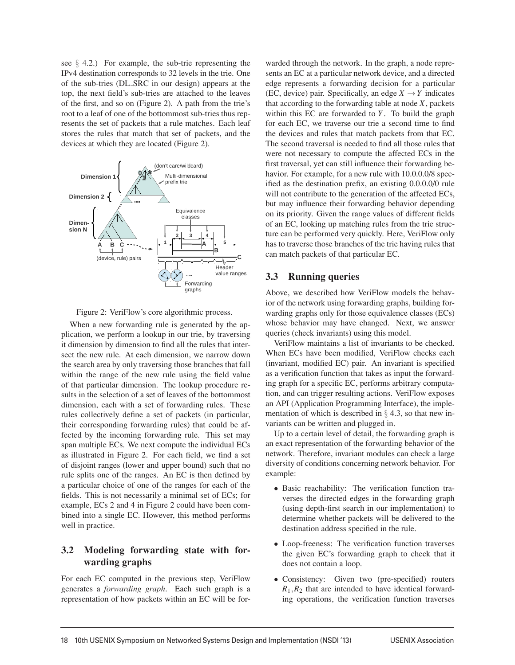see § 4.2.) For example, the sub-trie representing the IPv4 destination corresponds to 32 levels in the trie. One of the sub-tries (DL SRC in our design) appears at the top, the next field's sub-tries are attached to the leaves of the first, and so on (Figure 2). A path from the trie's root to a leaf of one of the bottommost sub-tries thus represents the set of packets that a rule matches. Each leaf stores the rules that match that set of packets, and the devices at which they are located (Figure 2).



Figure 2: VeriFlow's core algorithmic process.

When a new forwarding rule is generated by the application, we perform a lookup in our trie, by traversing it dimension by dimension to find all the rules that intersect the new rule. At each dimension, we narrow down the search area by only traversing those branches that fall within the range of the new rule using the field value of that particular dimension. The lookup procedure results in the selection of a set of leaves of the bottommost dimension, each with a set of forwarding rules. These rules collectively define a set of packets (in particular, their corresponding forwarding rules) that could be affected by the incoming forwarding rule. This set may span multiple ECs. We next compute the individual ECs as illustrated in Figure 2. For each field, we find a set of disjoint ranges (lower and upper bound) such that no rule splits one of the ranges. An EC is then defined by a particular choice of one of the ranges for each of the fields. This is not necessarily a minimal set of ECs; for example, ECs 2 and 4 in Figure 2 could have been combined into a single EC. However, this method performs well in practice.

# **3.2 Modeling forwarding state with forwarding graphs**

For each EC computed in the previous step, VeriFlow generates a *forwarding graph*. Each such graph is a representation of how packets within an EC will be forwarded through the network. In the graph, a node represents an EC at a particular network device, and a directed edge represents a forwarding decision for a particular (EC, device) pair. Specifically, an edge  $X \rightarrow Y$  indicates that according to the forwarding table at node *X*, packets within this EC are forwarded to *Y*. To build the graph for each EC, we traverse our trie a second time to find the devices and rules that match packets from that EC. The second traversal is needed to find all those rules that were not necessary to compute the affected ECs in the first traversal, yet can still influence their forwarding behavior. For example, for a new rule with 10.0.0.0/8 specified as the destination prefix, an existing 0.0.0.0/0 rule will not contribute to the generation of the affected ECs, but may influence their forwarding behavior depending on its priority. Given the range values of different fields of an EC, looking up matching rules from the trie structure can be performed very quickly. Here, VeriFlow only has to traverse those branches of the trie having rules that can match packets of that particular EC.

## **3.3 Running queries**

Above, we described how VeriFlow models the behavior of the network using forwarding graphs, building forwarding graphs only for those equivalence classes (ECs) whose behavior may have changed. Next, we answer queries (check invariants) using this model.

VeriFlow maintains a list of invariants to be checked. When ECs have been modified, VeriFlow checks each (invariant, modified EC) pair. An invariant is specified as a verification function that takes as input the forwarding graph for a specific EC, performs arbitrary computation, and can trigger resulting actions. VeriFlow exposes an API (Application Programming Interface), the implementation of which is described in  $\S$  4.3, so that new invariants can be written and plugged in.

Up to a certain level of detail, the forwarding graph is an exact representation of the forwarding behavior of the network. Therefore, invariant modules can check a large diversity of conditions concerning network behavior. For example:

- Basic reachability: The verification function traverses the directed edges in the forwarding graph (using depth-first search in our implementation) to determine whether packets will be delivered to the destination address specified in the rule.
- Loop-freeness: The verification function traverses the given EC's forwarding graph to check that it does not contain a loop.
- Consistency: Given two (pre-specified) routers  $R_1, R_2$  that are intended to have identical forwarding operations, the verification function traverses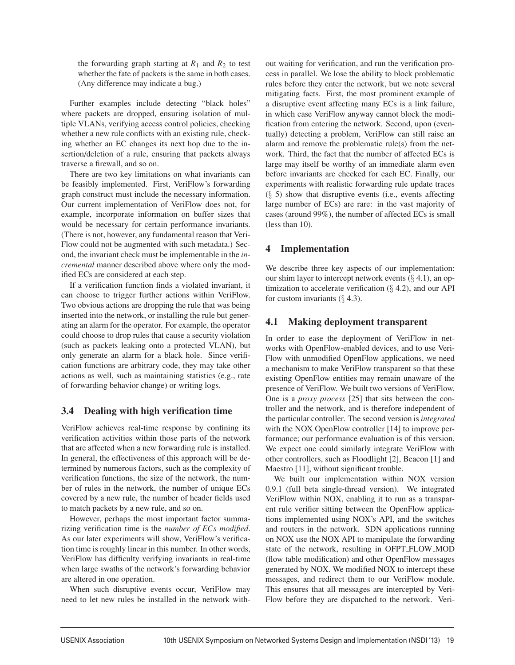the forwarding graph starting at  $R_1$  and  $R_2$  to test whether the fate of packets is the same in both cases. (Any difference may indicate a bug.)

Further examples include detecting "black holes" where packets are dropped, ensuring isolation of multiple VLANs, verifying access control policies, checking whether a new rule conflicts with an existing rule, checking whether an EC changes its next hop due to the insertion/deletion of a rule, ensuring that packets always traverse a firewall, and so on.

There are two key limitations on what invariants can be feasibly implemented. First, VeriFlow's forwarding graph construct must include the necessary information. Our current implementation of VeriFlow does not, for example, incorporate information on buffer sizes that would be necessary for certain performance invariants. (There is not, however, any fundamental reason that Veri-Flow could not be augmented with such metadata.) Second, the invariant check must be implementable in the *incremental* manner described above where only the modified ECs are considered at each step.

If a verification function finds a violated invariant, it can choose to trigger further actions within VeriFlow. Two obvious actions are dropping the rule that was being inserted into the network, or installing the rule but generating an alarm for the operator. For example, the operator could choose to drop rules that cause a security violation (such as packets leaking onto a protected VLAN), but only generate an alarm for a black hole. Since verification functions are arbitrary code, they may take other actions as well, such as maintaining statistics (e.g., rate of forwarding behavior change) or writing logs.

#### **3.4 Dealing with high verification time**

VeriFlow achieves real-time response by confining its verification activities within those parts of the network that are affected when a new forwarding rule is installed. In general, the effectiveness of this approach will be determined by numerous factors, such as the complexity of verification functions, the size of the network, the number of rules in the network, the number of unique ECs covered by a new rule, the number of header fields used to match packets by a new rule, and so on.

However, perhaps the most important factor summarizing verification time is the *number of ECs modified*. As our later experiments will show, VeriFlow's verification time is roughly linear in this number. In other words, VeriFlow has difficulty verifying invariants in real-time when large swaths of the network's forwarding behavior are altered in one operation.

When such disruptive events occur, VeriFlow may need to let new rules be installed in the network without waiting for verification, and run the verification process in parallel. We lose the ability to block problematic rules before they enter the network, but we note several mitigating facts. First, the most prominent example of a disruptive event affecting many ECs is a link failure, in which case VeriFlow anyway cannot block the modification from entering the network. Second, upon (eventually) detecting a problem, VeriFlow can still raise an alarm and remove the problematic rule(s) from the network. Third, the fact that the number of affected ECs is large may itself be worthy of an immediate alarm even before invariants are checked for each EC. Finally, our experiments with realistic forwarding rule update traces  $(\S$  5) show that disruptive events (i.e., events affecting large number of ECs) are rare: in the vast majority of cases (around 99%), the number of affected ECs is small (less than 10).

# **4 Implementation**

We describe three key aspects of our implementation: our shim layer to intercept network events  $(\S 4.1)$ , an optimization to accelerate verification  $(\S 4.2)$ , and our API for custom invariants  $(\S 4.3)$ .

# **4.1 Making deployment transparent**

In order to ease the deployment of VeriFlow in networks with OpenFlow-enabled devices, and to use Veri-Flow with unmodified OpenFlow applications, we need a mechanism to make VeriFlow transparent so that these existing OpenFlow entities may remain unaware of the presence of VeriFlow. We built two versions of VeriFlow. One is a *proxy process* [25] that sits between the controller and the network, and is therefore independent of the particular controller. The second version is *integrated* with the NOX OpenFlow controller [14] to improve performance; our performance evaluation is of this version. We expect one could similarly integrate VeriFlow with other controllers, such as Floodlight [2], Beacon [1] and Maestro [11], without significant trouble.

We built our implementation within NOX version 0.9.1 (full beta single-thread version). We integrated VeriFlow within NOX, enabling it to run as a transparent rule verifier sitting between the OpenFlow applications implemented using NOX's API, and the switches and routers in the network. SDN applications running on NOX use the NOX API to manipulate the forwarding state of the network, resulting in OFPT FLOW MOD (flow table modification) and other OpenFlow messages generated by NOX. We modified NOX to intercept these messages, and redirect them to our VeriFlow module. This ensures that all messages are intercepted by Veri-Flow before they are dispatched to the network. Veri-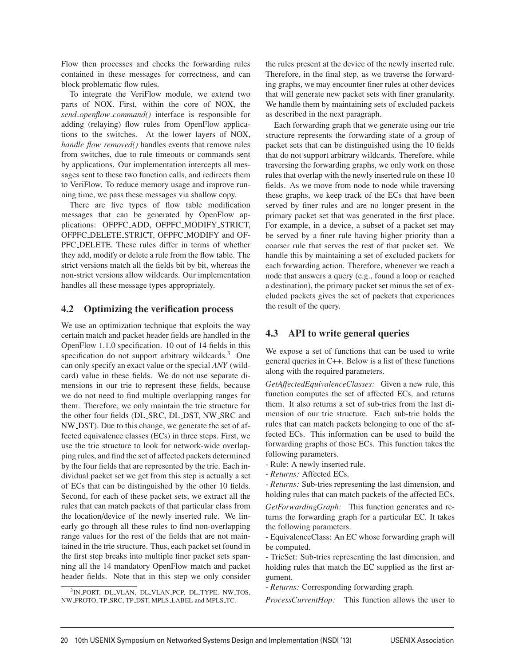Flow then processes and checks the forwarding rules contained in these messages for correctness, and can block problematic flow rules.

To integrate the VeriFlow module, we extend two parts of NOX. First, within the core of NOX, the *send openflow command()* interface is responsible for adding (relaying) flow rules from OpenFlow applications to the switches. At the lower layers of NOX, *handle flow removed()* handles events that remove rules from switches, due to rule timeouts or commands sent by applications. Our implementation intercepts all messages sent to these two function calls, and redirects them to VeriFlow. To reduce memory usage and improve running time, we pass these messages via shallow copy.

There are five types of flow table modification messages that can be generated by OpenFlow applications: OFPFC ADD, OFPFC MODIFY STRICT, OFPFC DELETE STRICT, OFPFC MODIFY and OF-PFC DELETE. These rules differ in terms of whether they add, modify or delete a rule from the flow table. The strict versions match all the fields bit by bit, whereas the non-strict versions allow wildcards. Our implementation handles all these message types appropriately.

## **4.2 Optimizing the verification process**

We use an optimization technique that exploits the way certain match and packet header fields are handled in the OpenFlow 1.1.0 specification. 10 out of 14 fields in this specification do not support arbitrary wildcards.<sup>3</sup> One can only specify an exact value or the special *ANY* (wildcard) value in these fields. We do not use separate dimensions in our trie to represent these fields, because we do not need to find multiple overlapping ranges for them. Therefore, we only maintain the trie structure for the other four fields (DL SRC, DL DST, NW SRC and NW DST). Due to this change, we generate the set of affected equivalence classes (ECs) in three steps. First, we use the trie structure to look for network-wide overlapping rules, and find the set of affected packets determined by the four fields that are represented by the trie. Each individual packet set we get from this step is actually a set of ECs that can be distinguished by the other 10 fields. Second, for each of these packet sets, we extract all the rules that can match packets of that particular class from the location/device of the newly inserted rule. We linearly go through all these rules to find non-overlapping range values for the rest of the fields that are not maintained in the trie structure. Thus, each packet set found in the first step breaks into multiple finer packet sets spanning all the 14 mandatory OpenFlow match and packet header fields. Note that in this step we only consider

the rules present at the device of the newly inserted rule. Therefore, in the final step, as we traverse the forwarding graphs, we may encounter finer rules at other devices that will generate new packet sets with finer granularity. We handle them by maintaining sets of excluded packets as described in the next paragraph.

Each forwarding graph that we generate using our trie structure represents the forwarding state of a group of packet sets that can be distinguished using the 10 fields that do not support arbitrary wildcards. Therefore, while traversing the forwarding graphs, we only work on those rules that overlap with the newly inserted rule on these 10 fields. As we move from node to node while traversing these graphs, we keep track of the ECs that have been served by finer rules and are no longer present in the primary packet set that was generated in the first place. For example, in a device, a subset of a packet set may be served by a finer rule having higher priority than a coarser rule that serves the rest of that packet set. We handle this by maintaining a set of excluded packets for each forwarding action. Therefore, whenever we reach a node that answers a query (e.g., found a loop or reached a destination), the primary packet set minus the set of excluded packets gives the set of packets that experiences the result of the query.

# **4.3 API to write general queries**

We expose a set of functions that can be used to write general queries in C++. Below is a list of these functions along with the required parameters.

*GetAffectedEquivalenceClasses:* Given a new rule, this function computes the set of affected ECs, and returns them. It also returns a set of sub-tries from the last dimension of our trie structure. Each sub-trie holds the rules that can match packets belonging to one of the affected ECs. This information can be used to build the forwarding graphs of those ECs. This function takes the following parameters.

- Rule: A newly inserted rule.
- *Returns:* Affected ECs.

- *Returns:* Sub-tries representing the last dimension, and holding rules that can match packets of the affected ECs.

*GetForwardingGraph:* This function generates and returns the forwarding graph for a particular EC. It takes the following parameters.

- EquivalenceClass: An EC whose forwarding graph will be computed.

- TrieSet: Sub-tries representing the last dimension, and holding rules that match the EC supplied as the first argument.

- *Returns:* Corresponding forwarding graph.

*ProcessCurrentHop:* This function allows the user to

<sup>3</sup>IN PORT, DL VLAN, DL VLAN PCP, DL TYPE, NW TOS, NW PROTO, TP SRC, TP DST, MPLS LABEL and MPLS TC.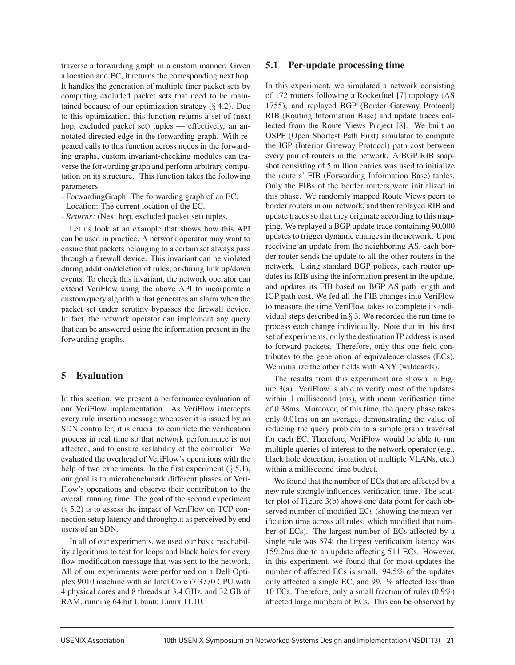traverse a forwarding graph in a custom manner. Given a location and EC, it returns the corresponding next hop. It handles the generation of multiple finer packet sets by computing excluded packet sets that need to be maintained because of our optimization strategy  $(\S$  4.2). Due to this optimization, this function returns a set of (next hop, excluded packet set) tuples — effectively, an annotated directed edge in the forwarding graph. With repeated calls to this function across nodes in the forwarding graphs, custom invariant-checking modules can traverse the forwarding graph and perform arbitrary computation on its structure. This function takes the following parameters.

- ForwardingGraph: The forwarding graph of an EC.
- Location: The current location of the EC.
- *Returns:* (Next hop, excluded packet set) tuples.

Let us look at an example that shows how this API can be used in practice. A network operator may want to ensure that packets belonging to a certain set always pass through a firewall device. This invariant can be violated during addition/deletion of rules, or during link up/down events. To check this invariant, the network operator can extend VeriFlow using the above API to incorporate a custom query algorithm that generates an alarm when the packet set under scrutiny bypasses the firewall device. In fact, the network operator can implement any query that can be answered using the information present in the forwarding graphs.

#### **5 Evaluation**

In this section, we present a performance evaluation of our VeriFlow implementation. As VeriFlow intercepts every rule insertion message whenever it is issued by an SDN controller, it is crucial to complete the verification process in real time so that network performance is not affected, and to ensure scalability of the controller. We evaluated the overhead of VeriFlow's operations with the help of two experiments. In the first experiment  $(\S 5.1)$ , our goal is to microbenchmark different phases of Veri-Flow's operations and observe their contribution to the overall running time. The goal of the second experiment  $(\S$  5.2) is to assess the impact of VeriFlow on TCP connection setup latency and throughput as perceived by end users of an SDN.

In all of our experiments, we used our basic reachability algorithms to test for loops and black holes for every flow modification message that was sent to the network. All of our experiments were performed on a Dell Optiplex 9010 machine with an Intel Core i7 3770 CPU with 4 physical cores and 8 threads at 3.4 GHz, and 32 GB of RAM, running 64 bit Ubuntu Linux 11.10.

#### **5.1 Per-update processing time**

In this experiment, we simulated a network consisting of 172 routers following a Rocketfuel [7] topology (AS 1755), and replayed BGP (Border Gateway Protocol) RIB (Routing Information Base) and update traces collected from the Route Views Project [8]. We built an OSPF (Open Shortest Path First) simulator to compute the IGP (Interior Gateway Protocol) path cost between every pair of routers in the network. A BGP RIB snapshot consisting of 5 million entries was used to initialize the routers' FIB (Forwarding Information Base) tables. Only the FIBs of the border routers were initialized in this phase. We randomly mapped Route Views peers to border routers in our network, and then replayed RIB and update traces so that they originate according to this mapping. We replayed a BGP update trace containing 90,000 updates to trigger dynamic changes in the network. Upon receiving an update from the neighboring AS, each border router sends the update to all the other routers in the network. Using standard BGP polices, each router updates its RIB using the information present in the update, and updates its FIB based on BGP AS path length and IGP path cost. We fed all the FIB changes into VeriFlow to measure the time VeriFlow takes to complete its individual steps described in  $\S$  3. We recorded the run time to process each change individually. Note that in this first set of experiments, only the destination IP address is used to forward packets. Therefore, only this one field contributes to the generation of equivalence classes (ECs). We initialize the other fields with ANY (wildcards).

The results from this experiment are shown in Figure 3(a). VeriFlow is able to verify most of the updates within 1 millisecond (ms), with mean verification time of 0.38ms. Moreover, of this time, the query phase takes only 0.01ms on an average, demonstrating the value of reducing the query problem to a simple graph traversal for each EC. Therefore, VeriFlow would be able to run multiple queries of interest to the network operator (e.g., black hole detection, isolation of multiple VLANs, etc.) within a millisecond time budget.

We found that the number of ECs that are affected by a new rule strongly influences verification time. The scatter plot of Figure 3(b) shows one data point for each observed number of modified ECs (showing the mean verification time across all rules, which modified that number of ECs). The largest number of ECs affected by a single rule was 574; the largest verification latency was 159.2ms due to an update affecting 511 ECs. However, in this experiment, we found that for most updates the number of affected ECs is small. 94.5% of the updates only affected a single EC, and 99.1% affected less than 10 ECs. Therefore, only a small fraction of rules (0.9%) affected large numbers of ECs. This can be observed by

-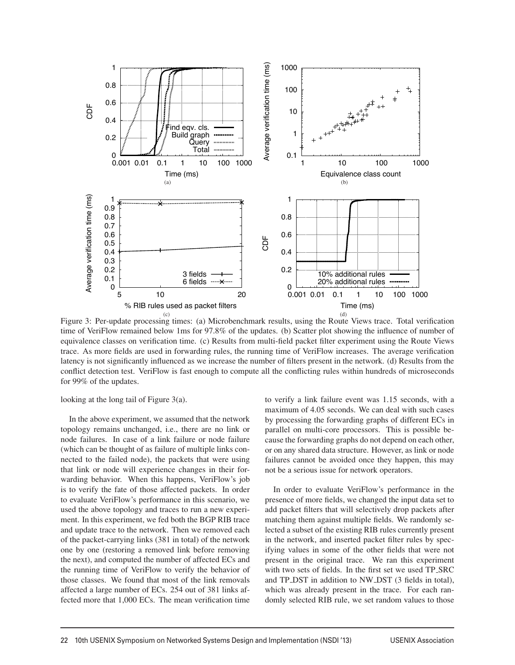

Figure 3: Per-update processing times: (a) Microbenchmark results, using the Route Views trace. Total verification time of VeriFlow remained below 1ms for 97.8% of the updates. (b) Scatter plot showing the influence of number of equivalence classes on verification time. (c) Results from multi-field packet filter experiment using the Route Views trace. As more fields are used in forwarding rules, the running time of VeriFlow increases. The average verification latency is not significantly influenced as we increase the number of filters present in the network. (d) Results from the conflict detection test. VeriFlow is fast enough to compute all the conflicting rules within hundreds of microseconds for 99% of the updates.

8

looking at the long tail of Figure 3(a).

In the above experiment, we assumed that the network topology remains unchanged, i.e., there are no link or node failures. In case of a link failure or node failure (which can be thought of as failure of multiple links connected to the failed node), the packets that were using that link or node will experience changes in their forwarding behavior. When this happens, VeriFlow's job is to verify the fate of those affected packets. In order to evaluate VeriFlow's performance in this scenario, we used the above topology and traces to run a new experiment. In this experiment, we fed both the BGP RIB trace and update trace to the network. Then we removed each of the packet-carrying links (381 in total) of the network one by one (restoring a removed link before removing the next), and computed the number of affected ECs and the running time of VeriFlow to verify the behavior of those classes. We found that most of the link removals affected a large number of ECs. 254 out of 381 links affected more that 1,000 ECs. The mean verification time to verify a link failure event was 1.15 seconds, with a maximum of 4.05 seconds. We can deal with such cases by processing the forwarding graphs of different ECs in parallel on multi-core processors. This is possible because the forwarding graphs do not depend on each other, or on any shared data structure. However, as link or node failures cannot be avoided once they happen, this may not be a serious issue for network operators.

In order to evaluate VeriFlow's performance in the presence of more fields, we changed the input data set to add packet filters that will selectively drop packets after matching them against multiple fields. We randomly selected a subset of the existing RIB rules currently present in the network, and inserted packet filter rules by specifying values in some of the other fields that were not present in the original trace. We ran this experiment with two sets of fields. In the first set we used TP SRC and TP DST in addition to NW DST (3 fields in total), which was already present in the trace. For each randomly selected RIB rule, we set random values to those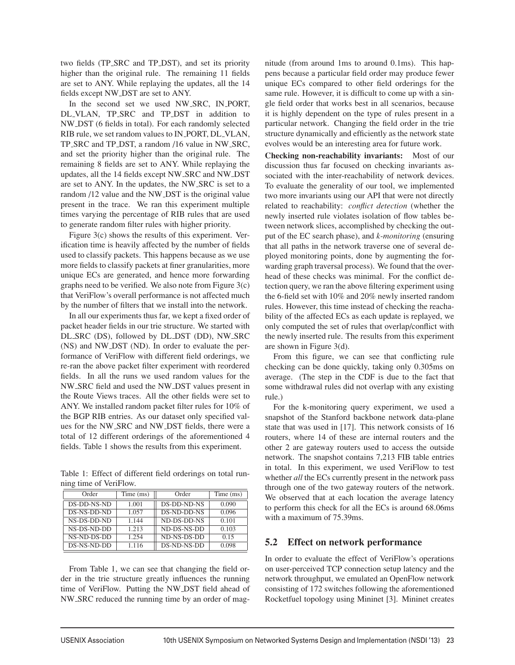two fields (TP SRC and TP DST), and set its priority higher than the original rule. The remaining 11 fields are set to ANY. While replaying the updates, all the 14 fields except NW DST are set to ANY.

In the second set we used NW\_SRC, IN\_PORT, DL VLAN, TP SRC and TP DST in addition to NW DST (6 fields in total). For each randomly selected RIB rule, we set random values to IN PORT, DL VLAN, TP SRC and TP DST, a random /16 value in NW SRC, and set the priority higher than the original rule. The remaining 8 fields are set to ANY. While replaying the updates, all the 14 fields except NW SRC and NW DST are set to ANY. In the updates, the NW SRC is set to a random /12 value and the NW DST is the original value present in the trace. We ran this experiment multiple times varying the percentage of RIB rules that are used to generate random filter rules with higher priority.

Figure 3(c) shows the results of this experiment. Verification time is heavily affected by the number of fields used to classify packets. This happens because as we use more fields to classify packets at finer granularities, more unique ECs are generated, and hence more forwarding graphs need to be verified. We also note from Figure 3(c) that VeriFlow's overall performance is not affected much by the number of filters that we install into the network.

In all our experiments thus far, we kept a fixed order of packet header fields in our trie structure. We started with DL SRC (DS), followed by DL DST (DD), NW SRC (NS) and NW DST (ND). In order to evaluate the performance of VeriFlow with different field orderings, we re-ran the above packet filter experiment with reordered fields. In all the runs we used random values for the NW SRC field and used the NW DST values present in the Route Views traces. All the other fields were set to ANY. We installed random packet filter rules for 10% of the BGP RIB entries. As our dataset only specified values for the NW SRC and NW DST fields, there were a total of 12 different orderings of the aforementioned 4 fields. Table 1 shows the results from this experiment.

Table 1: Effect of different field orderings on total running time of VeriFlow.

| Order       | Time (ms) | Order       | Time (ms) |
|-------------|-----------|-------------|-----------|
| DS-DD-NS-ND | 1.001     | DS-DD-ND-NS | 0.090     |
| DS-NS-DD-ND | 1.057     | DS-ND-DD-NS | 0.096     |
| NS-DS-DD-ND | 1.144     | ND-DS-DD-NS | 0.101     |
| NS-DS-ND-DD | 1.213     | ND-DS-NS-DD | 0.103     |
| NS-ND-DS-DD | 1.254     | ND-NS-DS-DD | 0.15      |
| DS-NS-ND-DD | 1.116     | DS-ND-NS-DD | 0.098     |

From Table 1, we can see that changing the field order in the trie structure greatly influences the running time of VeriFlow. Putting the NW DST field ahead of NW SRC reduced the running time by an order of magnitude (from around 1ms to around 0.1ms). This happens because a particular field order may produce fewer unique ECs compared to other field orderings for the same rule. However, it is difficult to come up with a single field order that works best in all scenarios, because it is highly dependent on the type of rules present in a particular network. Changing the field order in the trie structure dynamically and efficiently as the network state evolves would be an interesting area for future work.

**Checking non-reachability invariants:** Most of our discussion thus far focused on checking invariants associated with the inter-reachability of network devices. To evaluate the generality of our tool, we implemented two more invariants using our API that were not directly related to reachability: *conflict detection* (whether the newly inserted rule violates isolation of flow tables between network slices, accomplished by checking the output of the EC search phase), and *k-monitoring* (ensuring that all paths in the network traverse one of several deployed monitoring points, done by augmenting the forwarding graph traversal process). We found that the overhead of these checks was minimal. For the conflict detection query, we ran the above filtering experiment using the 6-field set with 10% and 20% newly inserted random rules. However, this time instead of checking the reachability of the affected ECs as each update is replayed, we only computed the set of rules that overlap/conflict with the newly inserted rule. The results from this experiment are shown in Figure 3(d).

From this figure, we can see that conflicting rule checking can be done quickly, taking only 0.305ms on average. (The step in the CDF is due to the fact that some withdrawal rules did not overlap with any existing rule.)

For the k-monitoring query experiment, we used a snapshot of the Stanford backbone network data-plane state that was used in [17]. This network consists of 16 routers, where 14 of these are internal routers and the other 2 are gateway routers used to access the outside network. The snapshot contains 7,213 FIB table entries in total. In this experiment, we used VeriFlow to test whether *all* the ECs currently present in the network pass through one of the two gateway routers of the network. We observed that at each location the average latency to perform this check for all the ECs is around 68.06ms with a maximum of 75.39ms.

#### **5.2 Effect on network performance**

In order to evaluate the effect of VeriFlow's operations on user-perceived TCP connection setup latency and the network throughput, we emulated an OpenFlow network consisting of 172 switches following the aforementioned Rocketfuel topology using Mininet [3]. Mininet creates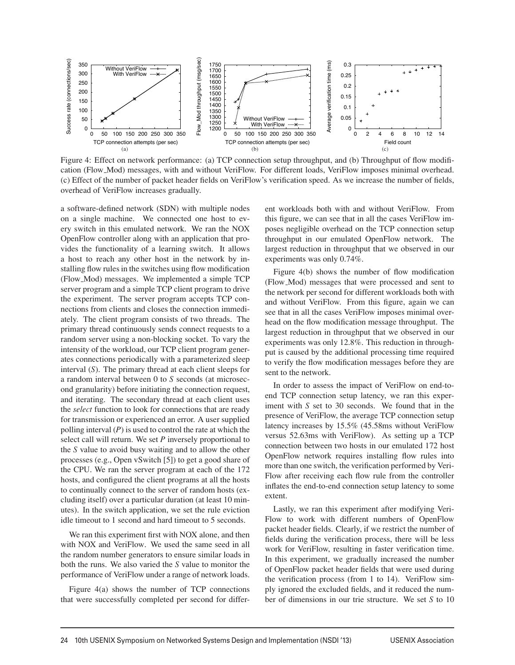

Figure 4: Effect on network performance: (a) TCP connection setup throughput, and (b) Throughput of flow modification (Flow Mod) messages, with and without VeriFlow. For different loads, VeriFlow imposes minimal overhead. (c) Effect of the number of packet header fields on VeriFlow's verification speed. As we increase the number of fields, overhead of VeriFlow increases gradually.

a software-defined network (SDN) with multiple nodes on a single machine. We connected one host to every switch in this emulated network. We ran the NOX OpenFlow controller along with an application that provides the functionality of a learning switch. It allows a host to reach any other host in the network by installing flow rules in the switches using flow modification (Flow Mod) messages. We implemented a simple TCP server program and a simple TCP client program to drive the experiment. The server program accepts TCP connections from clients and closes the connection immediately. The client program consists of two threads. The primary thread continuously sends connect requests to a random server using a non-blocking socket. To vary the intensity of the workload, our TCP client program generates connections periodically with a parameterized sleep interval (*S*). The primary thread at each client sleeps for a random interval between 0 to *S* seconds (at microsecond granularity) before initiating the connection request, and iterating. The secondary thread at each client uses the *select* function to look for connections that are ready for transmission or experienced an error. A user supplied polling interval (*P*) is used to control the rate at which the select call will return. We set *P* inversely proportional to the *S* value to avoid busy waiting and to allow the other processes (e.g., Open vSwitch [5]) to get a good share of the CPU. We ran the server program at each of the 172 hosts, and configured the client programs at all the hosts to continually connect to the server of random hosts (excluding itself) over a particular duration (at least 10 minutes). In the switch application, we set the rule eviction idle timeout to 1 second and hard timeout to 5 seconds.

We ran this experiment first with NOX alone, and then with NOX and VeriFlow. We used the same seed in all the random number generators to ensure similar loads in both the runs. We also varied the *S* value to monitor the performance of VeriFlow under a range of network loads.

Figure 4(a) shows the number of TCP connections that were successfully completed per second for different workloads both with and without VeriFlow. From this figure, we can see that in all the cases VeriFlow imposes negligible overhead on the TCP connection setup throughput in our emulated OpenFlow network. The largest reduction in throughput that we observed in our experiments was only 0.74%.

Figure 4(b) shows the number of flow modification (Flow Mod) messages that were processed and sent to the network per second for different workloads both with and without VeriFlow. From this figure, again we can see that in all the cases VeriFlow imposes minimal overhead on the flow modification message throughput. The largest reduction in throughput that we observed in our experiments was only 12.8%. This reduction in throughput is caused by the additional processing time required to verify the flow modification messages before they are sent to the network.

In order to assess the impact of VeriFlow on end-toend TCP connection setup latency, we ran this experiment with *S* set to 30 seconds. We found that in the presence of VeriFlow, the average TCP connection setup latency increases by 15.5% (45.58ms without VeriFlow versus 52.63ms with VeriFlow). As setting up a TCP connection between two hosts in our emulated 172 host OpenFlow network requires installing flow rules into more than one switch, the verification performed by Veri-Flow after receiving each flow rule from the controller inflates the end-to-end connection setup latency to some extent.

Lastly, we ran this experiment after modifying Veri-Flow to work with different numbers of OpenFlow packet header fields. Clearly, if we restrict the number of fields during the verification process, there will be less work for VeriFlow, resulting in faster verification time. In this experiment, we gradually increased the number of OpenFlow packet header fields that were used during the verification process (from 1 to 14). VeriFlow simply ignored the excluded fields, and it reduced the number of dimensions in our trie structure. We set *S* to 10

 $\overline{a}$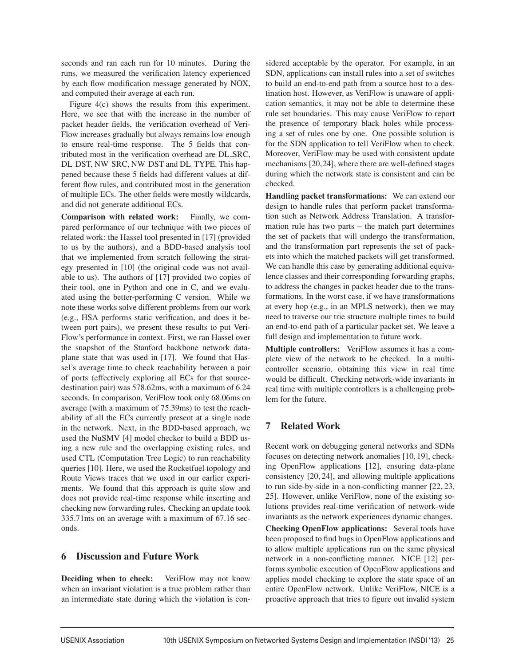seconds and ran each run for 10 minutes. During the runs, we measured the verification latency experienced by each flow modification message generated by NOX, and computed their average at each run.

Figure 4(c) shows the results from this experiment. Here, we see that with the increase in the number of packet header fields, the verification overhead of Veri-Flow increases gradually but always remains low enough to ensure real-time response. The 5 fields that contributed most in the verification overhead are DL SRC, DL DST, NW SRC, NW DST and DL TYPE. This happened because these 5 fields had different values at different flow rules, and contributed most in the generation of multiple ECs. The other fields were mostly wildcards, and did not generate additional ECs.

**Comparison with related work:** Finally, we compared performance of our technique with two pieces of related work: the Hassel tool presented in [17] (provided to us by the authors), and a BDD-based analysis tool that we implemented from scratch following the strategy presented in [10] (the original code was not available to us). The authors of [17] provided two copies of their tool, one in Python and one in C, and we evaluated using the better-performing C version. While we note these works solve different problems from our work (e.g., HSA performs static verification, and does it between port pairs), we present these results to put Veri-Flow's performance in context. First, we ran Hassel over the snapshot of the Stanford backbone network dataplane state that was used in [17]. We found that Hassel's average time to check reachability between a pair of ports (effectively exploring all ECs for that sourcedestination pair) was 578.62ms, with a maximum of 6.24 seconds. In comparison, VeriFlow took only 68.06ms on average (with a maximum of 75.39ms) to test the reachability of all the ECs currently present at a single node in the network. Next, in the BDD-based approach, we used the NuSMV [4] model checker to build a BDD using a new rule and the overlapping existing rules, and used CTL (Computation Tree Logic) to run reachability queries [10]. Here, we used the Rocketfuel topology and Route Views traces that we used in our earlier experiments. We found that this approach is quite slow and does not provide real-time response while inserting and checking new forwarding rules. Checking an update took 335.71ms on an average with a maximum of 67.16 seconds.

#### **6 Discussion and Future Work**

**Deciding when to check:** VeriFlow may not know when an invariant violation is a true problem rather than an intermediate state during which the violation is considered acceptable by the operator. For example, in an SDN, applications can install rules into a set of switches to build an end-to-end path from a source host to a destination host. However, as VeriFlow is unaware of application semantics, it may not be able to determine these rule set boundaries. This may cause VeriFlow to report the presence of temporary black holes while processing a set of rules one by one. One possible solution is for the SDN application to tell VeriFlow when to check. Moreover, VeriFlow may be used with consistent update mechanisms [20,24], where there are well-defined stages during which the network state is consistent and can be checked.

**Handling packet transformations:** We can extend our design to handle rules that perform packet transformation such as Network Address Translation. A transformation rule has two parts – the match part determines the set of packets that will undergo the transformation, and the transformation part represents the set of packets into which the matched packets will get transformed. We can handle this case by generating additional equivalence classes and their corresponding forwarding graphs, to address the changes in packet header due to the transformations. In the worst case, if we have transformations at every hop (e.g., in an MPLS network), then we may need to traverse our trie structure multiple times to build an end-to-end path of a particular packet set. We leave a full design and implementation to future work.

**Multiple controllers:** VeriFlow assumes it has a complete view of the network to be checked. In a multicontroller scenario, obtaining this view in real time would be difficult. Checking network-wide invariants in real time with multiple controllers is a challenging problem for the future.

# **7 Related Work**

Recent work on debugging general networks and SDNs focuses on detecting network anomalies [10, 19], checking OpenFlow applications [12], ensuring data-plane consistency [20, 24], and allowing multiple applications to run side-by-side in a non-conflicting manner [22, 23, 25]. However, unlike VeriFlow, none of the existing solutions provides real-time verification of network-wide invariants as the network experiences dynamic changes.

**Checking OpenFlow applications:** Several tools have been proposed to find bugs in OpenFlow applications and to allow multiple applications run on the same physical network in a non-conflicting manner. NICE [12] performs symbolic execution of OpenFlow applications and applies model checking to explore the state space of an entire OpenFlow network. Unlike VeriFlow, NICE is a proactive approach that tries to figure out invalid system

 $\overline{1}$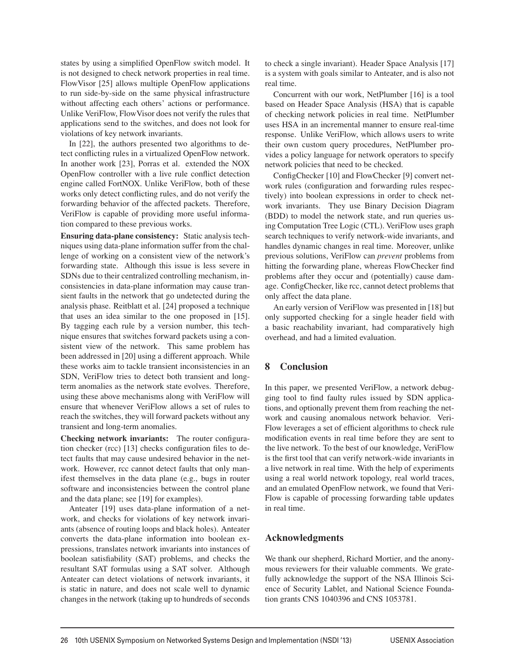states by using a simplified OpenFlow switch model. It is not designed to check network properties in real time. FlowVisor [25] allows multiple OpenFlow applications to run side-by-side on the same physical infrastructure without affecting each others' actions or performance. Unlike VeriFlow, FlowVisor does not verify the rules that applications send to the switches, and does not look for violations of key network invariants.

In [22], the authors presented two algorithms to detect conflicting rules in a virtualized OpenFlow network. In another work [23], Porras et al. extended the NOX OpenFlow controller with a live rule conflict detection engine called FortNOX. Unlike VeriFlow, both of these works only detect conflicting rules, and do not verify the forwarding behavior of the affected packets. Therefore, VeriFlow is capable of providing more useful information compared to these previous works.

**Ensuring data-plane consistency:** Static analysis techniques using data-plane information suffer from the challenge of working on a consistent view of the network's forwarding state. Although this issue is less severe in SDNs due to their centralized controlling mechanism, inconsistencies in data-plane information may cause transient faults in the network that go undetected during the analysis phase. Reitblatt et al. [24] proposed a technique that uses an idea similar to the one proposed in [15]. By tagging each rule by a version number, this technique ensures that switches forward packets using a consistent view of the network. This same problem has been addressed in [20] using a different approach. While these works aim to tackle transient inconsistencies in an SDN, VeriFlow tries to detect both transient and longterm anomalies as the network state evolves. Therefore, using these above mechanisms along with VeriFlow will ensure that whenever VeriFlow allows a set of rules to reach the switches, they will forward packets without any transient and long-term anomalies.

**Checking network invariants:** The router configuration checker (rcc) [13] checks configuration files to detect faults that may cause undesired behavior in the network. However, rcc cannot detect faults that only manifest themselves in the data plane (e.g., bugs in router software and inconsistencies between the control plane and the data plane; see [19] for examples).

Anteater [19] uses data-plane information of a network, and checks for violations of key network invariants (absence of routing loops and black holes). Anteater converts the data-plane information into boolean expressions, translates network invariants into instances of boolean satisfiability (SAT) problems, and checks the resultant SAT formulas using a SAT solver. Although Anteater can detect violations of network invariants, it is static in nature, and does not scale well to dynamic changes in the network (taking up to hundreds of seconds to check a single invariant). Header Space Analysis [17] is a system with goals similar to Anteater, and is also not real time.

Concurrent with our work, NetPlumber [16] is a tool based on Header Space Analysis (HSA) that is capable of checking network policies in real time. NetPlumber uses HSA in an incremental manner to ensure real-time response. Unlike VeriFlow, which allows users to write their own custom query procedures, NetPlumber provides a policy language for network operators to specify network policies that need to be checked.

ConfigChecker [10] and FlowChecker [9] convert network rules (configuration and forwarding rules respectively) into boolean expressions in order to check network invariants. They use Binary Decision Diagram (BDD) to model the network state, and run queries using Computation Tree Logic (CTL). VeriFlow uses graph search techniques to verify network-wide invariants, and handles dynamic changes in real time. Moreover, unlike previous solutions, VeriFlow can *prevent* problems from hitting the forwarding plane, whereas FlowChecker find problems after they occur and (potentially) cause damage. ConfigChecker, like rcc, cannot detect problems that only affect the data plane.

An early version of VeriFlow was presented in [18] but only supported checking for a single header field with a basic reachability invariant, had comparatively high overhead, and had a limited evaluation.

# **8 Conclusion**

In this paper, we presented VeriFlow, a network debugging tool to find faulty rules issued by SDN applications, and optionally prevent them from reaching the network and causing anomalous network behavior. Veri-Flow leverages a set of efficient algorithms to check rule modification events in real time before they are sent to the live network. To the best of our knowledge, VeriFlow is the first tool that can verify network-wide invariants in a live network in real time. With the help of experiments using a real world network topology, real world traces, and an emulated OpenFlow network, we found that Veri-Flow is capable of processing forwarding table updates in real time.

# **Acknowledgments**

We thank our shepherd, Richard Mortier, and the anonymous reviewers for their valuable comments. We gratefully acknowledge the support of the NSA Illinois Science of Security Lablet, and National Science Foundation grants CNS 1040396 and CNS 1053781.